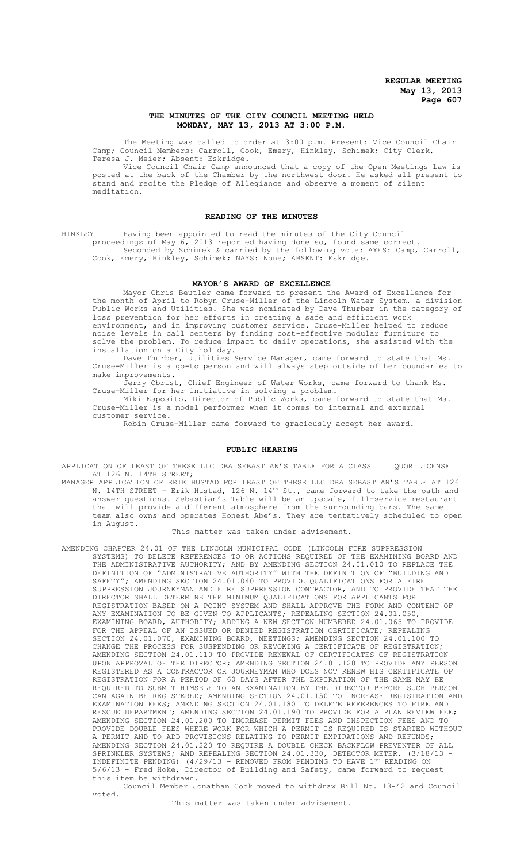# **THE MINUTES OF THE CITY COUNCIL MEETING HELD MONDAY, MAY 13, 2013 AT 3:00 P.M.**

The Meeting was called to order at 3:00 p.m. Present: Vice Council Chair Camp; Council Members: Carroll, Cook, Emery, Hinkley, Schimek; City Clerk, Teresa J. Meier; Absent: Eskridge.

Vice Council Chair Camp announced that a copy of the Open Meetings Law is posted at the back of the Chamber by the northwest door. He asked all present to stand and recite the Pledge of Allegiance and observe a moment of silent meditation.

## **READING OF THE MINUTES**

HINKLEY Having been appointed to read the minutes of the City Council proceedings of May 6, 2013 reported having done so, found same correct. Seconded by Schimek & carried by the following vote: AYES: Camp, Carroll, Cook, Emery, Hinkley, Schimek; NAYS: None; ABSENT: Eskridge.

# **MAYOR'S AWARD OF EXCELLENCE**

Mayor Chris Beutler came forward to present the Award of Excellence for the month of April to Robyn Cruse-Miller of the Lincoln Water System, a division Public Works and Utilities. She was nominated by Dave Thurber in the category of loss prevention for her efforts in creating a safe and efficient work environment, and in improving customer service. Cruse-Miller helped to reduce noise levels in call centers by finding cost-effective modular furniture to solve the problem. To reduce impact to daily operations, she assisted with the installation on a City holiday.

Dave Thurber, Utilities Service Manager, came forward to state that Ms. Cruse-Miller is a go-to person and will always step outside of her boundaries to make improvements.

Jerry Obrist, Chief Engineer of Water Works, came forward to thank Ms. Cruse-Miller for her initiative in solving a problem.

Miki Esposito, Director of Public Works, came forward to state that Ms. Cruse-Miller is a model performer when it comes to internal and external customer service.

Robin Cruse-Miller came forward to graciously accept her award.

#### **PUBLIC HEARING**

APPLICATION OF LEAST OF THESE LLC DBA SEBASTIAN'S TABLE FOR A CLASS I LIQUOR LICENSE AT 126 N. 14TH STREET;

MANAGER APPLICATION OF ERIK HUSTAD FOR LEAST OF THESE LLC DBA SEBASTIAN'S TABLE AT 126 N. 14TH STREET - Erik Hustad, 126 N.  $14^{\text{th}}$  St., came forward to take the oath and answer questions. Sebastian's Table will be an upscale, full-service restaurant that will provide a different atmosphere from the surrounding bars. The same team also owns and operates Honest Abe's. They are tentatively scheduled to open in August.

#### This matter was taken under advisement.

AMENDING CHAPTER 24.01 OF THE LINCOLN MUNICIPAL CODE (LINCOLN FIRE SUPPRESSION SYSTEMS) TO DELETE REFERENCES TO OR ACTIONS REQUIRED OF THE EXAMINING BOARD AND THE ADMINISTRATIVE AUTHORITY; AND BY AMENDING SECTION 24.01.010 TO REPLACE THE DEFINITION OF "ADMINISTRATIVE AUTHORITY" WITH THE DEFINITION OF "BUILDING AND SAFETY"; AMENDING SECTION 24.01.040 TO PROVIDE QUALIFICATIONS FOR A FIRE SUPPRESSION JOURNEYMAN AND FIRE SUPPRESSION CONTRACTOR, AND TO PROVIDE THAT THE DIRECTOR SHALL DETERMINE THE MINIMUM QUALIFICATIONS FOR APPLICANTS FOR REGISTRATION BASED ON A POINT SYSTEM AND SHALL APPROVE THE FORM AND CONTENT OF ANY EXAMINATION TO BE GIVEN TO APPLICANTS; REPEALING SECTION 24.01.050, EXAMINING BOARD, AUTHORITY; ADDING A NEW SECTION NUMBERED 24.01.065 TO PROVIDE FOR THE APPEAL OF AN ISSUED OR DENIED REGISTRATION CERTIFICATE; REPEALING SECTION 24.01.070, EXAMINING BOARD, MEETINGS; AMENDING SECTION 24.01.100 TO CHANGE THE PROCESS FOR SUSPENDING OR REVOKING A CERTIFICATE OF REGISTRATION; AMENDING SECTION 24.01.110 TO PROVIDE RENEWAL OF CERTIFICATES OF REGISTRATION UPON APPROVAL OF THE DIRECTOR; AMENDING SECTION 24.01.120 TO PROVIDE ANY PERSON REGISTERED AS A CONTRACTOR OR JOURNEYMAN WHO DOES NOT RENEW HIS CERTIFICATE OF REGISTRATION FOR A PERIOD OF 60 DAYS AFTER THE EXPIRATION OF THE SAME MAY BE REQUIRED TO SUBMIT HIMSELF TO AN EXAMINATION BY THE DIRECTOR BEFORE SUCH PERSON CAN AGAIN BE REGISTERED; AMENDING SECTION 24.01.150 TO INCREASE REGISTRATION AND EXAMINATION FEES; AMENDING SECTION 24.01.180 TO DELETE REFERENCES TO FIRE AND RESCUE DEPARTMENT; AMENDING SECTION 24.01.190 TO PROVIDE FOR A PLAN REVIEW FEE; AMENDING SECTION 24.01.200 TO INCREASE PERMIT FEES AND INSPECTION FEES AND TO PROVIDE DOUBLE FEES WHERE WORK FOR WHICH A PERMIT IS REQUIRED IS STARTED WITHOUT A PERMIT AND TO ADD PROVISIONS RELATING TO PERMIT EXPIRATIONS AND REFUNDS; AMENDING SECTION 24.01.220 TO REQUIRE A DOUBLE CHECK BACKFLOW PREVENTER OF ALL SPRINKLER SYSTEMS; AND REPEALING SECTION 24.01.330, DETECTOR METER. (3/18/13 - INDEFINITE PENDING) (4/29/13 - REMOVED FROM PENDING TO HAVE 1<sup>st</sup> READING ON 5/6/13 - Fred Hoke, Director of Building and Safety, came forward to request this item be withdrawn.

Council Member Jonathan Cook moved to withdraw Bill No. 13-42 and Council voted.

This matter was taken under advisement.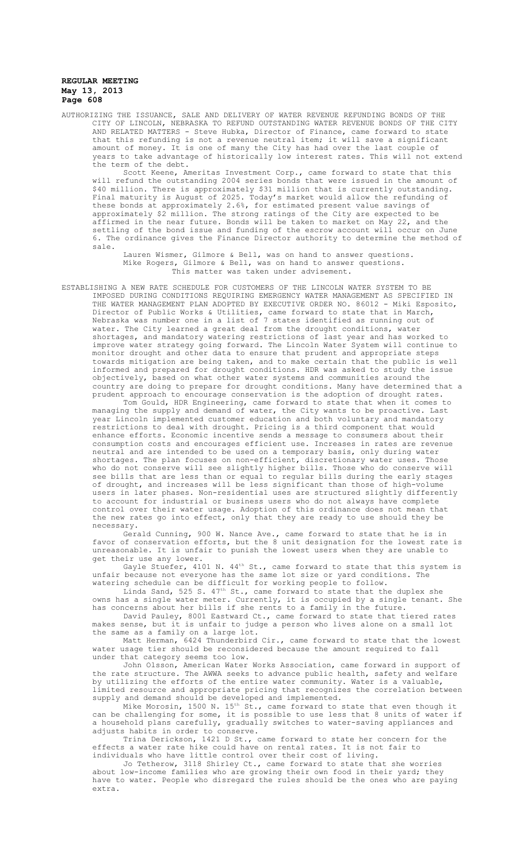AUTHORIZING THE ISSUANCE, SALE AND DELIVERY OF WATER REVENUE REFUNDING BONDS OF THE CITY OF LINCOLN, NEBRASKA TO REFUND OUTSTANDING WATER REVENUE BONDS OF THE CITY AND RELATED MATTERS - Steve Hubka, Director of Finance, came forward to state that this refunding is not a revenue neutral item; it will save a significant amount of money. It is one of many the City has had over the last couple of years to take advantage of historically low interest rates. This will not extend the term of the debt.

Scott Keene, Ameritas Investment Corp., came forward to state that this will refund the outstanding 2004 series bonds that were issued in the amount of \$40 million. There is approximately \$31 million that is currently outstanding. Final maturity is August of 2025. Today's market would allow the refunding of these bonds at approximately 2.6%, for estimated present value savings of approximately \$2 million. The strong ratings of the City are expected to be affirmed in the near future. Bonds will be taken to market on May 22, and the settling of the bond issue and funding of the escrow account will occur on June 6. The ordinance gives the Finance Director authority to determine the method of sale.

Lauren Wismer, Gilmore & Bell, was on hand to answer questions. Mike Rogers, Gilmore & Bell, was on hand to answer questions. This matter was taken under advisement.

ESTABLISHING A NEW RATE SCHEDULE FOR CUSTOMERS OF THE LINCOLN WATER SYSTEM TO BE IMPOSED DURING CONDITIONS REQUIRING EMERGENCY WATER MANAGEMENT AS SPECIFIED IN THE WATER MANAGEMENT PLAN ADOPTED BY EXECUTIVE ORDER NO. 86012 - Miki Esposito, Director of Public Works & Utilities, came forward to state that in March, Nebraska was number one in a list of 7 states identified as running out of water. The City learned a great deal from the drought conditions, water shortages, and mandatory watering restrictions of last year and has worked to improve water strategy going forward. The Lincoln Water System will continue to monitor drought and other data to ensure that prudent and appropriate steps towards mitigation are being taken, and to make certain that the public is well informed and prepared for drought conditions. HDR was asked to study the issue objectively, based on what other water systems and communities around the country are doing to prepare for drought conditions. Many have determined that a prudent approach to encourage conservation is the adoption of drought rates.

Tom Gould, HDR Engineering, came forward to state that when it comes to managing the supply and demand of water, the City wants to be proactive. Last year Lincoln implemented customer education and both voluntary and mandatory restrictions to deal with drought. Pricing is a third component that would enhance efforts. Economic incentive sends a message to consumers about their consumption costs and encourages efficient use. Increases in rates are revenue neutral and are intended to be used on a temporary basis, only during water shortages. The plan focuses on non-efficient, discretionary water uses. Those who do not conserve will see slightly higher bills. Those who do conserve will see bills that are less than or equal to regular bills during the early stages of drought, and increases will be less significant than those of high-volume users in later phases. Non-residential uses are structured slightly differently to account for industrial or business users who do not always have complete control over their water usage. Adoption of this ordinance does not mean that the new rates go into effect, only that they are ready to use should they be necessary.

Gerald Cunning, 900 W. Nance Ave., came forward to state that he is in favor of conservation efforts, but the 8 unit designation for the lowest rate is unreasonable. It is unfair to punish the lowest users when they are unable to get their use any lower.

Gayle Stuefer, 4101 N. 44<sup>th</sup> St., came forward to state that this system is unfair because not everyone has the same lot size or yard conditions. The watering schedule can be difficult for working people to follow.

Linda Sand, 525 S.  $47<sup>th</sup>$  St., came forward to state that the duplex she owns has a single water meter. Currently, it is occupied by a single tenant. She has concerns about her bills if she rents to a family in the future.

David Pauley, 8001 Eastward Ct., came forward to state that tiered rates makes sense, but it is unfair to judge a person who lives alone on a small lot the same as a family on a large lot.

Matt Herman, 6424 Thunderbird Cir., came forward to state that the lowest water usage tier should be reconsidered because the amount required to fall under that category seems too low.

John Olsson, American Water Works Association, came forward in support of the rate structure. The AWWA seeks to advance public health, safety and welfare by utilizing the efforts of the entire water community. Water is a valuable, limited resource and appropriate pricing that recognizes the correlation between supply and demand should be developed and implemented.

Mike Morosin, 1500 N. 15th St., came forward to state that even though it can be challenging for some, it is possible to use less that 8 units of water if a household plans carefully, gradually switches to water-saving appliances and adjusts habits in order to conserve.

Trina Derickson, 1421 D St., came forward to state her concern for the effects a water rate hike could have on rental rates. It is not fair to individuals who have little control over their cost of living.

Jo Tetherow, 3118 Shirley Ct., came forward to state that she worries about low-income families who are growing their own food in their yard; they have to water. People who disregard the rules should be the ones who are paying extra.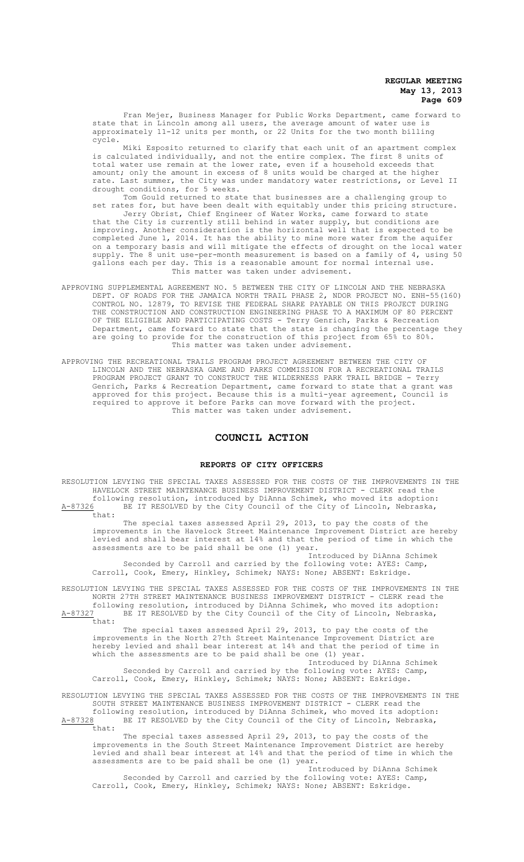Fran Mejer, Business Manager for Public Works Department, came forward to state that in Lincoln among all users, the average amount of water use is approximately 11-12 units per month, or 22 Units for the two month billing cycle.

Miki Esposito returned to clarify that each unit of an apartment complex is calculated individually, and not the entire complex. The first 8 units of total water use remain at the lower rate, even if a household exceeds that amount; only the amount in excess of 8 units would be charged at the higher rate. Last summer, the City was under mandatory water restrictions, or Level II drought conditions, for 5 weeks.

Tom Gould returned to state that businesses are a challenging group to set rates for, but have been dealt with equitably under this pricing structure.

Jerry Obrist, Chief Engineer of Water Works, came forward to state that the City is currently still behind in water supply, but conditions are improving. Another consideration is the horizontal well that is expected to be completed June 1, 2014. It has the ability to mine more water from the aquifer on a temporary basis and will mitigate the effects of drought on the local water supply. The 8 unit use-per-month measurement is based on a family of 4, using 50 gallons each per day. This is a reasonable amount for normal internal use. This matter was taken under advisement.

- APPROVING SUPPLEMENTAL AGREEMENT NO. 5 BETWEEN THE CITY OF LINCOLN AND THE NEBRASKA DEPT. OF ROADS FOR THE JAMAICA NORTH TRAIL PHASE 2, NDOR PROJECT NO. ENH-55(160) CONTROL NO. 12879, TO REVISE THE FEDERAL SHARE PAYABLE ON THIS PROJECT DURING THE CONSTRUCTION AND CONSTRUCTION ENGINEERING PHASE TO A MAXIMUM OF 80 PERCENT OF THE ELIGIBLE AND PARTICIPATING COSTS - Terry Genrich, Parks & Recreation Department, came forward to state that the state is changing the percentage they are going to provide for the construction of this project from 65% to 80%. This matter was taken under advisement.
- APPROVING THE RECREATIONAL TRAILS PROGRAM PROJECT AGREEMENT BETWEEN THE CITY OF LINCOLN AND THE NEBRASKA GAME AND PARKS COMMISSION FOR A RECREATIONAL TRAILS PROGRAM PROJECT GRANT TO CONSTRUCT THE WILDERNESS PARK TRAIL BRIDGE - Terry Genrich, Parks & Recreation Department, came forward to state that a grant was approved for this project. Because this is a multi-year agreement, Council is required to approve it before Parks can move forward with the project. This matter was taken under advisement.

# **COUNCIL ACTION**

#### **REPORTS OF CITY OFFICERS**

RESOLUTION LEVYING THE SPECIAL TAXES ASSESSED FOR THE COSTS OF THE IMPROVEMENTS IN THE HAVELOCK STREET MAINTENANCE BUSINESS IMPROVEMENT DISTRICT - CLERK read the following resolution, introduced by DiAnna Schimek, who moved its adoption: A-87326 BE IT RESOLVED by the City Council of the City of Lincoln, Nebraska, that:

The special taxes assessed April 29, 2013, to pay the costs of the improvements in the Havelock Street Maintenance Improvement District are hereby levied and shall bear interest at 14% and that the period of time in which the assessments are to be paid shall be one (1) year.

Introduced by DiAnna Schimek Seconded by Carroll and carried by the following vote: AYES: Camp, Carroll, Cook, Emery, Hinkley, Schimek; NAYS: None; ABSENT: Eskridge.

RESOLUTION LEVYING THE SPECIAL TAXES ASSESSED FOR THE COSTS OF THE IMPROVEMENTS IN THE NORTH 27TH STREET MAINTENANCE BUSINESS IMPROVEMENT DISTRICT - CLERK read the following resolution, introduced by DiAnna Schimek, who moved its adoption:

A-87327 BE IT RESOLVED by the City Council of the City of Lincoln, Nebraska,  $\frac{\text{A}-87327}{\text{that}}$ 

The special taxes assessed April 29, 2013, to pay the costs of the improvements in the North 27th Street Maintenance Improvement District are hereby levied and shall bear interest at 14% and that the period of time in which the assessments are to be paid shall be one (1) year. Introduced by DiAnna Schimek

Seconded by Carroll and carried by the following vote: AYES: Camp, Carroll, Cook, Emery, Hinkley, Schimek; NAYS: None; ABSENT: Eskridge.

RESOLUTION LEVYING THE SPECIAL TAXES ASSESSED FOR THE COSTS OF THE IMPROVEMENTS IN THE SOUTH STREET MAINTENANCE BUSINESS IMPROVEMENT DISTRICT - CLERK read the following resolution, introduced by DiAnna Schimek, who moved its adoption:

A-87328 BE IT RESOLVED by the City Council of the City of Lincoln, Nebraska, that:

The special taxes assessed April 29, 2013, to pay the costs of the improvements in the South Street Maintenance Improvement District are hereby levied and shall bear interest at 14% and that the period of time in which the assessments are to be paid shall be one (1) year.

Introduced by DiAnna Schimek Seconded by Carroll and carried by the following vote: AYES: Camp, Carroll, Cook, Emery, Hinkley, Schimek; NAYS: None; ABSENT: Eskridge.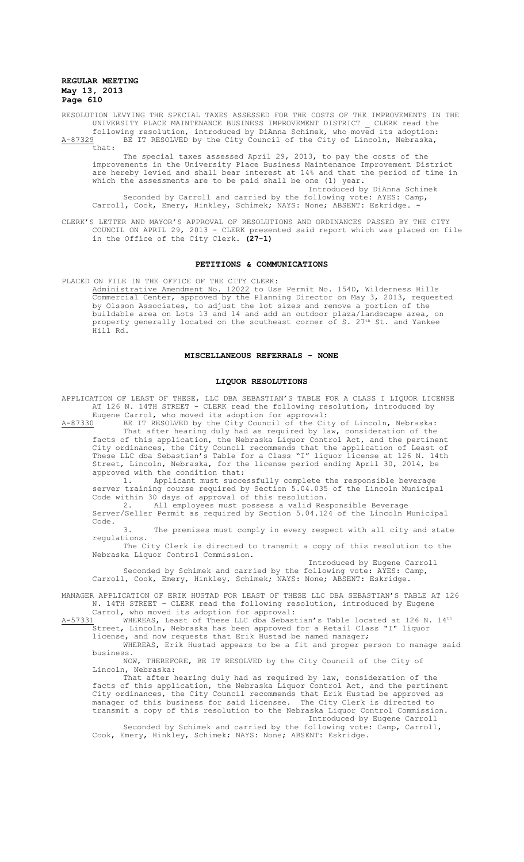RESOLUTION LEVYING THE SPECIAL TAXES ASSESSED FOR THE COSTS OF THE IMPROVEMENTS IN THE UNIVERSITY PLACE MAINTENANCE BUSINESS IMPROVEMENT DISTRICT \_ CLERK read the following resolution, introduced by DiAnna Schimek, who moved its adoption:<br>A-87329 BE IT RESOLVED by the City Council of the City of Lincoln, Nebraska, BE IT RESOLVED by the City Council of the City of Lincoln, Nebraska,

that: The special taxes assessed April 29, 2013, to pay the costs of the improvements in the University Place Business Maintenance Improvement District are hereby levied and shall bear interest at 14% and that the period of time in which the assessments are to be paid shall be one (1) year. Introduced by DiAnna Schimek

Seconded by Carroll and carried by the following vote: AYES: Camp, Carroll, Cook, Emery, Hinkley, Schimek; NAYS: None; ABSENT: Eskridge.

CLERK'S LETTER AND MAYOR'S APPROVAL OF RESOLUTIONS AND ORDINANCES PASSED BY THE CITY COUNCIL ON APRIL 29, 2013 - CLERK presented said report which was placed on file in the Office of the City Clerk. **(27-1)**

## **PETITIONS & COMMUNICATIONS**

PLACED ON FILE IN THE OFFICE OF THE CITY CLERK:

Administrative Amendment No. 12022 to Use Permit No. 154D, Wilderness Hills Commercial Center, approved by the Planning Director on May 3, 2013, requested by Olsson Associates, to adjust the lot sizes and remove a portion of the buildable area on Lots 13 and 14 and add an outdoor plaza/landscape area, on property generally located on the southeast corner of S. 27th St. and Yankee Hill Rd.

## **MISCELLANEOUS REFERRALS - NONE**

#### **LIQUOR RESOLUTIONS**

APPLICATION OF LEAST OF THESE, LLC DBA SEBASTIAN'S TABLE FOR A CLASS I LIQUOR LICENSE AT 126 N. 14TH STREET - CLERK read the following resolution, introduced by Eugene Carrol, who moved its adoption for approval:

A-87330 BE IT RESOLVED by the City Council of the City of Lincoln, Nebraska: That after hearing duly had as required by law, consideration of the facts of this application, the Nebraska Liquor Control Act, and the pertinent City ordinances, the City Council recommends that the application of Least of These LLC dba Sebastian's Table for a Class "I" liquor license at 126 N. 14th Street, Lincoln, Nebraska, for the license period ending April 30, 2014, be approved with the condition that:

1. Applicant must successfully complete the responsible beverage server training course required by Section 5.04.035 of the Lincoln Municipal Code within 30 days of approval of this resolution.

2. All employees must possess a valid Responsible Beverage Server/Seller Permit as required by Section 5.04.124 of the Lincoln Municipal Code.

3. The premises must comply in every respect with all city and state regulations.

The City Clerk is directed to transmit a copy of this resolution to the Nebraska Liquor Control Commission.

Introduced by Eugene Carroll

Seconded by Schimek and carried by the following vote: AYES: Camp, Carroll, Cook, Emery, Hinkley, Schimek; NAYS: None; ABSENT: Eskridge.

MANAGER APPLICATION OF ERIK HUSTAD FOR LEAST OF THESE LLC DBA SEBASTIAN'S TABLE AT 126 N. 14TH STREET - CLERK read the following resolution, introduced by Eugene Carrol, who moved its adoption for approval:

 $A-57331$  WHEREAS, Least of These LLC dba Sebastian's Table located at 126 N. 14<sup>th</sup> Street, Lincoln, Nebraska has been approved for a Retail Class "I" liquor license, and now requests that Erik Hustad be named manager;

WHEREAS, Erik Hustad appears to be a fit and proper person to manage said

business. NOW, THEREFORE, BE IT RESOLVED by the City Council of the City of

Lincoln, Nebraska: That after hearing duly had as required by law, consideration of the facts of this application, the Nebraska Liquor Control Act, and the pertinent City ordinances, the City Council recommends that Erik Hustad be approved as manager of this business for said licensee. The City Clerk is directed to transmit a copy of this resolution to the Nebraska Liquor Control Commission.

Introduced by Eugene Carroll

Seconded by Schimek and carried by the following vote: Camp, Carroll, Cook, Emery, Hinkley, Schimek; NAYS: None; ABSENT: Eskridge.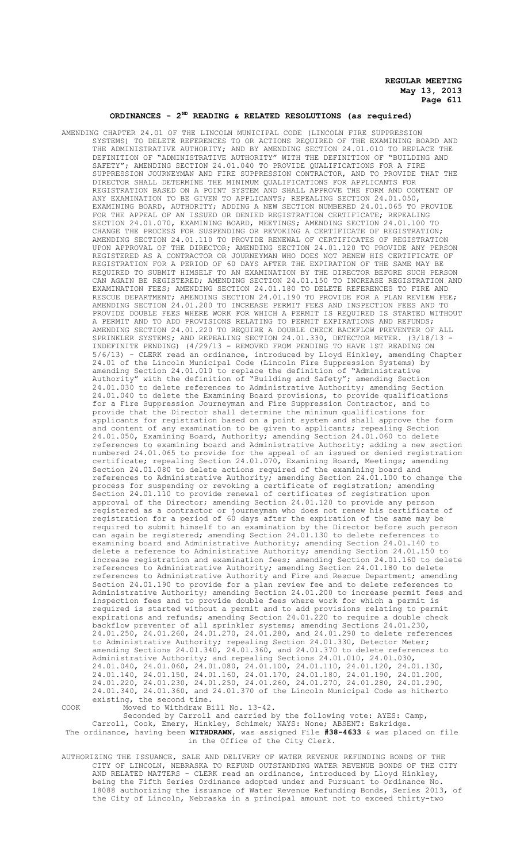# **ORDINANCES - 2ND READING & RELATED RESOLUTIONS (as required)**

AMENDING CHAPTER 24.01 OF THE LINCOLN MUNICIPAL CODE (LINCOLN FIRE SUPPRESSION SYSTEMS) TO DELETE REFERENCES TO OR ACTIONS REQUIRED OF THE EXAMINING BOARD AND THE ADMINISTRATIVE AUTHORITY; AND BY AMENDING SECTION 24.01.010 TO REPLACE THE DEFINITION OF "ADMINISTRATIVE AUTHORITY" WITH THE DEFINITION OF "BUILDING AND SAFETY"; AMENDING SECTION 24.01.040 TO PROVIDE QUALIFICATIONS FOR A FIRE SUPPRESSION JOURNEYMAN AND FIRE SUPPRESSION CONTRACTOR, AND TO PROVIDE THAT THE DIRECTOR SHALL DETERMINE THE MINIMUM QUALIFICATIONS FOR APPLICANTS FOR REGISTRATION BASED ON A POINT SYSTEM AND SHALL APPROVE THE FORM AND CONTENT OF ANY EXAMINATION TO BE GIVEN TO APPLICANTS; REPEALING SECTION 24.01.050, EXAMINING BOARD, AUTHORITY; ADDING A NEW SECTION NUMBERED 24.01.065 TO PROVIDE FOR THE APPEAL OF AN ISSUED OR DENIED REGISTRATION CERTIFICATE; REPEALING SECTION 24.01.070, EXAMINING BOARD, MEETINGS; AMENDING SECTION 24.01.100 TO CHANGE THE PROCESS FOR SUSPENDING OR REVOKING A CERTIFICATE OF REGISTRATION; AMENDING SECTION 24.01.110 TO PROVIDE RENEWAL OF CERTIFICATES OF REGISTRATION UPON APPROVAL OF THE DIRECTOR; AMENDING SECTION 24.01.120 TO PROVIDE ANY PERSON REGISTERED AS A CONTRACTOR OR JOURNEYMAN WHO DOES NOT RENEW HIS CERTIFICATE OF REGISTRATION FOR A PERIOD OF 60 DAYS AFTER THE EXPIRATION OF THE SAME MAY BE REQUIRED TO SUBMIT HIMSELF TO AN EXAMINATION BY THE DIRECTOR BEFORE SUCH PERSON CAN AGAIN BE REGISTERED; AMENDING SECTION 24.01.150 TO INCREASE REGISTRATION AND EXAMINATION FEES; AMENDING SECTION 24.01.180 TO DELETE REFERENCES TO FIRE AND RESCUE DEPARTMENT; AMENDING SECTION 24.01.190 TO PROVIDE FOR A PLAN REVIEW FEE; AMENDING SECTION 24.01.200 TO INCREASE PERMIT FEES AND INSPECTION FEES AND TO PROVIDE DOUBLE FEES WHERE WORK FOR WHICH A PERMIT IS REQUIRED IS STARTED WITHOUT A PERMIT AND TO ADD PROVISIONS RELATING TO PERMIT EXPIRATIONS AND REFUNDS; AMENDING SECTION 24.01.220 TO REQUIRE A DOUBLE CHECK BACKFLOW PREVENTER OF ALL SPRINKLER SYSTEMS; AND REPEALING SECTION 24.01.330, DETECTOR METER. (3/18/13 - INDEFINITE PENDING) (4/29/13 - REMOVED FROM PENDING TO HAVE 1ST READING ON 5/6/13) - CLERK read an ordinance, introduced by Lloyd Hinkley, amending Chapter 24.01 of the Lincoln Municipal Code (Lincoln Fire Suppression Systems) by amending Section 24.01.010 to replace the definition of "Administrative Authority" with the definition of "Building and Safety"; amending Section 24.01.030 to delete references to Administrative Authority; amending Section 24.01.040 to delete the Examining Board provisions, to provide qualifications for a Fire Suppression Journeyman and Fire Suppression Contractor, and to provide that the Director shall determine the minimum qualifications for applicants for registration based on a point system and shall approve the form and content of any examination to be given to applicants; repealing Section 24.01.050, Examining Board, Authority; amending Section 24.01.060 to delete references to examining board and Administrative Authority; adding a new section numbered 24.01.065 to provide for the appeal of an issued or denied registration certificate; repealing Section 24.01.070, Examining Board, Meetings; amending Section 24.01.080 to delete actions required of the examining board and references to Administrative Authority; amending Section 24.01.100 to change the process for suspending or revoking a certificate of registration; amending .<br>Section 24.01.110 to provide renewal of certificates of registration upon approval of the Director; amending Section 24.01.120 to provide any person registered as a contractor or journeyman who does not renew his certificate of registration for a period of 60 days after the expiration of the same may be required to submit himself to an examination by the Director before such person can again be registered; amending Section 24.01.130 to delete references to examining board and Administrative Authority; amending Section 24.01.140 to delete a reference to Administrative Authority; amending Section 24.01.150 increase registration and examination fees; amending Section 24.01.160 to delete references to Administrative Authority; amending Section 24.01.180 to delete references to Administrative Authority and Fire and Rescue Department; amending Section 24.01.190 to provide for a plan review fee and to delete references to Administrative Authority; amending Section 24.01.200 to increase permit fees and inspection fees and to provide double fees where work for which a permit is required is started without a permit and to add provisions relating to permit expirations and refunds; amending Section 24.01.220 to require a double check backflow preventer of all sprinkler systems; amending Sections 24.01.230, 24.01.250, 24.01.260, 24.01.270, 24.01.280, and 24.01.290 to delete references to Administrative Authority; repealing Section 24.01.330, Detector Meter; amending Sections 24.01.340, 24.01.360, and 24.01.370 to delete references to Administrative Authority; and repealing Sections 24.01.010, 24.01.030,<br>24.01.040, 24.01.060, 24.01.080, 24.01.100, 24.01.110, 24.01.120, 24.01.130, 24.01.040, 24.01.060, 24.01.080, 24.01.100, 24.01.110, 24.01.120, 24.01.130, 24.01.140, 24.01.150, 24.01.160, 24.01.170, 24.01.180, 24.01.190, 24.01.200, 24.01.220, 24.01.230, 24.01.250, 24.01.260, 24.01.270, 24.01.280, 24.01.290, 24.01.340, 24.01.360, and 24.01.370 of the Lincoln Municipal Code as hitherto existing, the second time.

COOK Moved to Withdraw Bill No. 13-42.

Seconded by Carroll and carried by the following vote: AYES: Camp, Carroll, Cook, Emery, Hinkley, Schimek; NAYS: None; ABSENT: Eskridge. The ordinance, having been **WITHDRAWN**, was assigned File **#38-4633** & was placed on file in the Office of the City Clerk.

AUTHORIZING THE ISSUANCE, SALE AND DELIVERY OF WATER REVENUE REFUNDING BONDS OF THE CITY OF LINCOLN, NEBRASKA TO REFUND OUTSTANDING WATER REVENUE BONDS OF THE CITY AND RELATED MATTERS - CLERK read an ordinance, introduced by Lloyd Hinkley, being the Fifth Series Ordinance adopted under and Pursuant to Ordinance No. 18088 authorizing the issuance of Water Revenue Refunding Bonds, Series 2013, of the City of Lincoln, Nebraska in a principal amount not to exceed thirty-two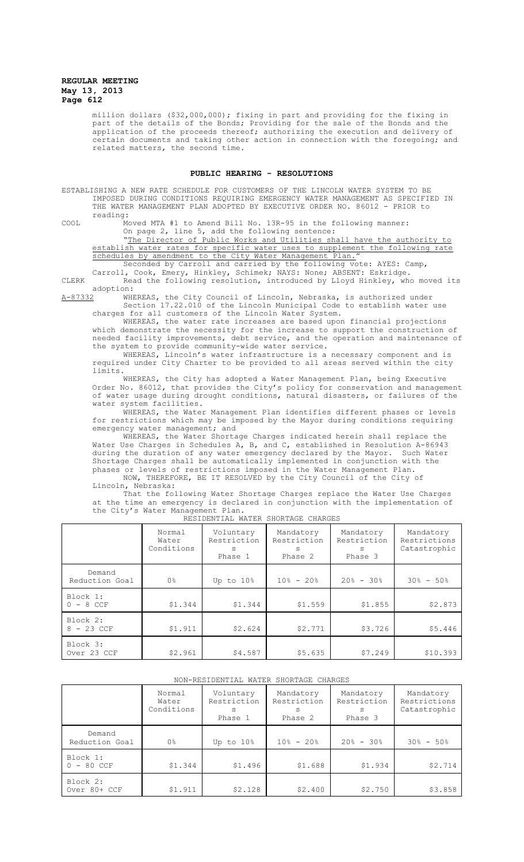million dollars (\$32,000,000); fixing in part and providing for the fixing in part of the details of the Bonds; Providing for the sale of the Bonds and the application of the proceeds thereof; authorizing the execution and delivery of certain documents and taking other action in connection with the foregoing; and related matters, the second time.

# **PUBLIC HEARING - RESOLUTIONS**

ESTABLISHING A NEW RATE SCHEDULE FOR CUSTOMERS OF THE LINCOLN WATER SYSTEM TO BE IMPOSED DURING CONDITIONS REQUIRING EMERGENCY WATER MANAGEMENT AS SPECIFIED IN THE WATER MANAGEMENT PLAN ADOPTED BY EXECUTIVE ORDER NO. 86012 - PRIOR to reading:

COOL Moved MTA #1 to Amend Bill No. 13R-95 in the following manner: On page 2, line 5, add the following sentence:

"The Director of Public Works and Utilities shall have the authority to establish water rates for specific water uses to supplement the following rate schedules by amendment to the City Water Management Plan.

Seconded by Carroll and carried by the following vote: AYES: Camp,

Carroll, Cook, Emery, Hinkley, Schimek; NAYS: None; ABSENT: Eskridge. CLERK Read the following resolution, introduced by Lloyd Hinkley, who moved its adoption:<br><u>A-87332</u> WHI

WHEREAS, the City Council of Lincoln, Nebraska, is authorized under Section 17.22.010 of the Lincoln Municipal Code to establish water use charges for all customers of the Lincoln Water System.

WHEREAS, the water rate increases are based upon financial projections which demonstrate the necessity for the increase to support the construction of needed facility improvements, debt service, and the operation and maintenance of the system to provide community-wide water service.

WHEREAS, Lincoln's water infrastructure is a necessary component and is required under City Charter to be provided to all areas served within the city limits.

WHEREAS, the City has adopted a Water Management Plan, being Executive Order No. 86012, that provides the City's policy for conservation and management of water usage during drought conditions, natural disasters, or failures of the water system facilities.

WHEREAS, the Water Management Plan identifies different phases or levels for restrictions which may be imposed by the Mayor during conditions requiring emergency water management; and

WHEREAS, the Water Shortage Charges indicated herein shall replace the Water Use Charges in Schedules A, B, and C, established in Resolution A-86943 during the duration of any water emergency declared by the Mayor. Such Water Shortage Charges shall be automatically implemented in conjunction with the phases or levels of restrictions imposed in the Water Management Plan. NOW, THEREFORE, BE IT RESOLVED by the City Council of the City of

Lincoln, Nebraska:

That the following Water Shortage Charges replace the Water Use Charges at the time an emergency is declared in conjunction with the implementation of the City's Water Management Plan.

| RESIDENTIAL WATER SHORTAGE CHARGES |                               |                                           |                                          |                                           |                                           |
|------------------------------------|-------------------------------|-------------------------------------------|------------------------------------------|-------------------------------------------|-------------------------------------------|
|                                    | Normal<br>Water<br>Conditions | Voluntary<br>Restriction<br>S.<br>Phase 1 | Mandatory<br>Restriction<br>S<br>Phase 2 | Mandatory<br>Restriction<br>S.<br>Phase 3 | Mandatory<br>Restrictions<br>Catastrophic |
| Demand<br>Reduction Goal           | 0 <sup>°</sup>                | Up to 10%                                 | $10\% - 20\%$                            | $20\% - 30\%$                             | $30\% - 50\%$                             |
| Block 1:<br>$0 - 8$ CCF            | \$1.344                       | \$1.344                                   | \$1.559                                  | \$1.855                                   | \$2.873                                   |
| Block 2:<br>$8 - 23$ CCF           | \$1.911                       | \$2.624                                   | \$2.771                                  | \$3.726                                   | \$5.446                                   |
| Block 3:<br>Over 23 CCF            | \$2.961                       | \$4.587                                   | \$5.635                                  | \$7.249                                   | \$10.393                                  |

## NON-RESIDENTIAL WATER SHORTAGE CHARGES

|                          | Normal<br>Water<br>Conditions | Voluntary<br>Restriction<br>S<br>Phase 1 | Mandatory<br>Restriction<br>S<br>Phase 2 | Mandatory<br>Restriction<br>S.<br>Phase 3 | Mandatory<br>Restrictions<br>Catastrophic |
|--------------------------|-------------------------------|------------------------------------------|------------------------------------------|-------------------------------------------|-------------------------------------------|
| Demand<br>Reduction Goal | 0 <sup>°</sup>                | Up to $108$                              | $10\% - 20\%$                            | $20\% - 30\%$                             | $30\% - 50\%$                             |
| Block 1:<br>$0 - 80$ CCF | \$1.344                       | \$1.496                                  | \$1.688                                  | \$1.934                                   | \$2.714                                   |
| Block 2:<br>Over 80+ CCF | \$1.911                       | \$2.128                                  | \$2.400                                  | \$2.750                                   | \$3.858                                   |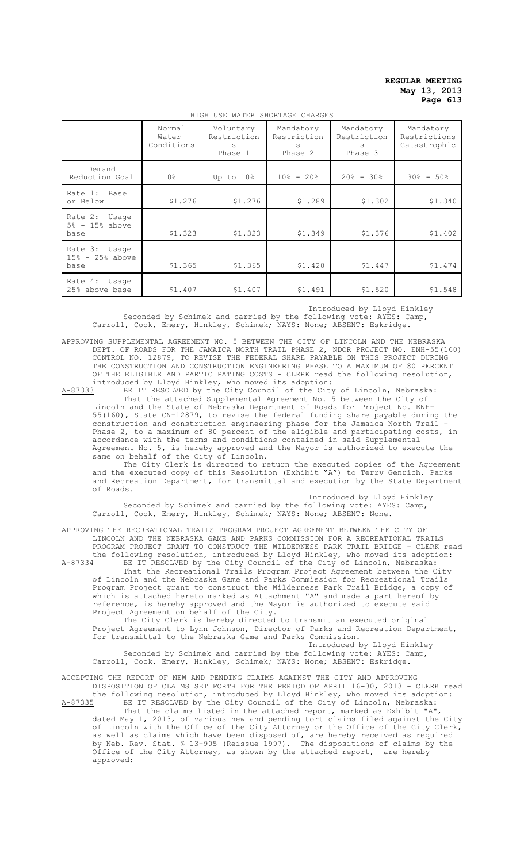|                                              | Normal<br>Water<br>Conditions | Voluntary<br>Restriction<br>S<br>Phase 1 | Mandatory<br>Restriction<br>S<br>Phase 2 | Mandatory<br>Restriction<br>S<br>Phase 3 | Mandatory<br>Restrictions<br>Catastrophic |
|----------------------------------------------|-------------------------------|------------------------------------------|------------------------------------------|------------------------------------------|-------------------------------------------|
| Demand<br>Reduction Goal                     | 0 <sup>°</sup>                | Up to 10%                                | $10\% - 20\%$                            | $20\% - 30\%$                            | $30\% - 50\%$                             |
| Rate 1:<br>Base<br>or Below                  | \$1.276                       | \$1.276                                  | \$1,289                                  | \$1.302                                  | \$1.340                                   |
| Rate 2:<br>Usage<br>$5% - 15%$ above<br>base | \$1.323                       | \$1.323                                  | \$1.349                                  | \$1.376                                  | \$1.402                                   |
| Rate 3: Usage<br>$15\% - 25\%$ above<br>base | \$1.365                       | \$1.365                                  | \$1.420                                  | \$1.447                                  | \$1.474                                   |
| Rate 4:<br>Usage<br>25% above base           | \$1.407                       | \$1.407                                  | \$1.491                                  | \$1.520                                  | \$1.548                                   |

HIGH USE WATER SHORTAGE CHARGES

Introduced by Lloyd Hinkley

Seconded by Schimek and carried by the following vote: AYES: Camp, Carroll, Cook, Emery, Hinkley, Schimek; NAYS: None; ABSENT: Eskridge.

APPROVING SUPPLEMENTAL AGREEMENT NO. 5 BETWEEN THE CITY OF LINCOLN AND THE NEBRASKA DEPT. OF ROADS FOR THE JAMAICA NORTH TRAIL PHASE 2, NDOR PROJECT NO. ENH-55(160) CONTROL NO. 12879, TO REVISE THE FEDERAL SHARE PAYABLE ON THIS PROJECT DURING THE CONSTRUCTION AND CONSTRUCTION ENGINEERING PHASE TO A MAXIMUM OF 80 PERCENT OF THE ELIGIBLE AND PARTICIPATING COSTS - CLERK read the following resolution, introduced by Lloyd Hinkley, who moved its adoption:<br>A-87333 BE IT RESOLVED by the City Council of the City

A-87333 BE IT RESOLVED by the City Council of the City of Lincoln, Nebraska: That the attached Supplemental Agreement No. 5 between the City of Lincoln and the State of Nebraska Department of Roads for Project No. ENH-55(160), State CN-12879, to revise the federal funding share payable during the construction and construction engineering phase for the Jamaica North Trail – Phase 2, to a maximum of 80 percent of the eligible and participating costs, in accordance with the terms and conditions contained in said Supplemental Agreement No. 5, is hereby approved and the Mayor is authorized to execute the same on behalf of the City of Lincoln.

The City Clerk is directed to return the executed copies of the Agreement and the executed copy of this Resolution (Exhibit "A") to Terry Genrich, Parks and Recreation Department, for transmittal and execution by the State Department of Roads.

Introduced by Lloyd Hinkley

Seconded by Schimek and carried by the following vote: AYES: Camp, Carroll, Cook, Emery, Hinkley, Schimek; NAYS: None; ABSENT: None.

APPROVING THE RECREATIONAL TRAILS PROGRAM PROJECT AGREEMENT BETWEEN THE CITY OF LINCOLN AND THE NEBRASKA GAME AND PARKS COMMISSION FOR A RECREATIONAL TRAILS PROGRAM PROJECT GRANT TO CONSTRUCT THE WILDERNESS PARK TRAIL BRIDGE - CLERK read the following resolution, introduced by Lloyd Hinkley, who moved its adoption:<br>A-87334 BE IT RESOLVED by the City Council of the City of Lincoln, Nebraska: BE IT RESOLVED by the City Council of the City of Lincoln, Nebraska: That the Recreational Trails Program Project Agreement between the City of Lincoln and the Nebraska Game and Parks Commission for Recreational Trails

Program Project grant to construct the Wilderness Park Trail Bridge, a copy of which is attached hereto marked as Attachment "A" and made a part hereof by reference, is hereby approved and the Mayor is authorized to execute said Project Agreement on behalf of the City.

The City Clerk is hereby directed to transmit an executed original Project Agreement to Lynn Johnson, Director of Parks and Recreation Department, for transmittal to the Nebraska Game and Parks Commission.

Introduced by Lloyd Hinkley Seconded by Schimek and carried by the following vote: AYES: Camp, Carroll, Cook, Emery, Hinkley, Schimek; NAYS: None; ABSENT: Eskridge.

ACCEPTING THE REPORT OF NEW AND PENDING CLAIMS AGAINST THE CITY AND APPROVING DISPOSITION OF CLAIMS SET FORTH FOR THE PERIOD OF APRIL 16-30, 2013 - CLERK read

the following resolution, introduced by Lloyd Hinkley, who moved its adoption:<br>A-87335 BE IT RESOLVED by the City Council of the City of Lincoln, Nebraska: A-87335 BE IT RESOLVED by the City Council of the City of Lincoln, Nebraska: That the claims listed in the attached report, marked as Exhibit "A", dated May 1, 2013, of various new and pending tort claims filed against the City of Lincoln with the Office of the City Attorney or the Office of the City Clerk, as well as claims which have been disposed of, are hereby received as required by <u>Neb. Rev. Stat.</u> § 13-905 (Reissue 1997). The dispositions of claims by the Office of the City Attorney, as shown by the attached report, are hereby approved: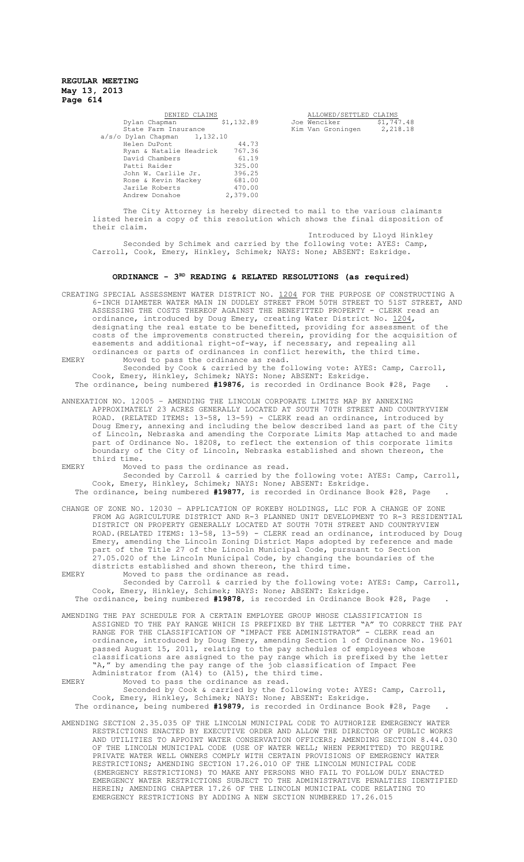| DENIED CLAIMS                  |            | ALLOWED/SETTLED CLAIMS |            |
|--------------------------------|------------|------------------------|------------|
| Dylan Chapman                  | \$1,132.89 | Joe Wenciker           | \$1,747.48 |
| State Farm Insurance           |            | Kim Van Groningen      | 2,218.18   |
| $a/s/o$ Dylan Chapman 1,132.10 |            |                        |            |
| Helen DuPont                   | 44.73      |                        |            |
| Ryan & Natalie Headrick        | 767.36     |                        |            |
| David Chambers                 | 61.19      |                        |            |
| Patti Raider                   | 325.00     |                        |            |
| John W. Carlile Jr.            | 396.25     |                        |            |
| Rose & Kevin Mackey            | 681.00     |                        |            |
| JariLe Roberts                 | 470.00     |                        |            |
| Andrew Donahoe                 | 2,379.00   |                        |            |
|                                |            |                        |            |

ALLOWED/SETTLED CLAIMS<br>Wenciker \$1,747.48<br>Van Groningen 2,218.18

The City Attorney is hereby directed to mail to the various claimants listed herein a copy of this resolution which shows the final disposition of their claim.

Introduced by Lloyd Hinkley Seconded by Schimek and carried by the following vote: AYES: Camp, Carroll, Cook, Emery, Hinkley, Schimek; NAYS: None; ABSENT: Eskridge.

# **ORDINANCE - 3RD READING & RELATED RESOLUTIONS (as required)**

CREATING SPECIAL ASSESSMENT WATER DISTRICT NO. 1204 FOR THE PURPOSE OF CONSTRUCTING A 6-INCH DIAMETER WATER MAIN IN DUDLEY STREET FROM 50TH STREET TO 51ST STREET, AND ASSESSING THE COSTS THEREOF AGAINST THE BENEFITTED PROPERTY - CLERK read an ordinance, introduced by Doug Emery, creating Water District No. 1204, designating the real estate to be benefitted, providing for assessment of the costs of the improvements constructed therein, providing for the acquisition of easements and additional right-of-way, if necessary, and repealing all ordinances or parts of ordinances in conflict herewith, the third time.

EMERY Moved to pass the ordinance as read. Seconded by Cook & carried by the following vote: AYES: Camp, Carroll, Cook, Emery, Hinkley, Schimek; NAYS: None; ABSENT: Eskridge.

The ordinance, being numbered **#19876**, is recorded in Ordinance Book #28, Page .

ANNEXATION NO. 12005 – AMENDING THE LINCOLN CORPORATE LIMITS MAP BY ANNEXING APPROXIMATELY 23 ACRES GENERALLY LOCATED AT SOUTH 70TH STREET AND COUNTRYVIEW ROAD. (RELATED ITEMS: 13-58, 13-59) - CLERK read an ordinance, introduced by Doug Emery, annexing and including the below described land as part of the City of Lincoln, Nebraska and amending the Corporate Limits Map attached to and made part of Ordinance No. 18208, to reflect the extension of this corporate limits boundary of the City of Lincoln, Nebraska established and shown thereon, the third time.

EMERY Moved to pass the ordinance as read.

Seconded by Carroll & carried by the following vote: AYES: Camp, Carroll, Cook, Emery, Hinkley, Schimek; NAYS: None; ABSENT: Eskridge.

The ordinance, being numbered **#19877**, is recorded in Ordinance Book #28, Page .

CHANGE OF ZONE NO. 12030 – APPLICATION OF ROKEBY HOLDINGS, LLC FOR A CHANGE OF ZONE FROM AG AGRICULTURE DISTRICT AND R-3 PLANNED UNIT DEVELOPMENT TO R-3 RESIDENTIAL DISTRICT ON PROPERTY GENERALLY LOCATED AT SOUTH 70TH STREET AND COUNTRYVIEW ROAD.(RELATED ITEMS: 13-58, 13-59) - CLERK read an ordinance, introduced by Doug Emery, amending the Lincoln Zoning District Maps adopted by reference and made part of the Title 27 of the Lincoln Municipal Code, pursuant to Section 27.05.020 of the Lincoln Municipal Code, by changing the boundaries of the districts established and shown thereon, the third time.

EMERY Moved to pass the ordinance as read. Seconded by Carroll & carried by the following vote: AYES: Camp, Carroll, Cook, Emery, Hinkley, Schimek; NAYS: None; ABSENT: Eskridge.

The ordinance, being numbered **#19878**, is recorded in Ordinance Book #28, Page .

AMENDING THE PAY SCHEDULE FOR A CERTAIN EMPLOYEE GROUP WHOSE CLASSIFICATION IS ASSIGNED TO THE PAY RANGE WHICH IS PREFIXED BY THE LETTER "A" TO CORRECT THE PAY RANGE FOR THE CLASSIFICATION OF "IMPACT FEE ADMINISTRATOR" - CLERK read an ordinance, introduced by Doug Emery, amending Section 1 of Ordinance No. 19601<br>passed August 15, 2011, relating to the pay schedules of employees whose relating to the pay schedules of employees whose classifications are assigned to the pay range which is prefixed by the letter "A," by amending the pay range of the job classification of Impact Fee Administrator from (A14) to (A15), the third time.

EMERY Moved to pass the ordinance as read.

Seconded by Cook & carried by the following vote: AYES: Camp, Carroll, Cook, Emery, Hinkley, Schimek; NAYS: None; ABSENT: Eskridge. The ordinance, being numbered **#19879**, is recorded in Ordinance Book #28, Page .

AMENDING SECTION 2.35.035 OF THE LINCOLN MUNICIPAL CODE TO AUTHORIZE EMERGENCY WATER RESTRICTIONS ENACTED BY EXECUTIVE ORDER AND ALLOW THE DIRECTOR OF PUBLIC WORKS AND UTILITIES TO APPOINT WATER CONSERVATION OFFICERS; AMENDING SECTION 8.44.030 OF THE LINCOLN MUNICIPAL CODE (USE OF WATER WELL; WHEN PERMITTED) TO REQUIRE PRIVATE WATER WELL OWNERS COMPLY WITH CERTAIN PROVISIONS OF EMERGENCY WATER RESTRICTIONS; AMENDING SECTION 17.26.010 OF THE LINCOLN MUNICIPAL CODE (EMERGENCY RESTRICTIONS) TO MAKE ANY PERSONS WHO FAIL TO FOLLOW DULY ENACTED EMERGENCY WATER RESTRICTIONS SUBJECT TO THE ADMINISTRATIVE PENALTIES IDENTIFIED HEREIN; AMENDING CHAPTER 17.26 OF THE LINCOLN MUNICIPAL CODE RELATING TO EMERGENCY RESTRICTIONS BY ADDING A NEW SECTION NUMBERED 17.26.015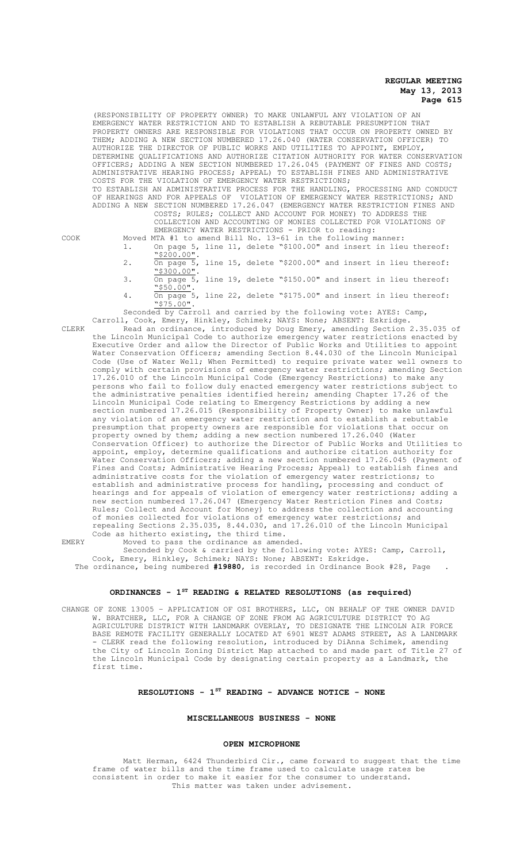(RESPONSIBILITY OF PROPERTY OWNER) TO MAKE UNLAWFUL ANY VIOLATION OF AN EMERGENCY WATER RESTRICTION AND TO ESTABLISH A REBUTABLE PRESUMPTION THAT PROPERTY OWNERS ARE RESPONSIBLE FOR VIOLATIONS THAT OCCUR ON PROPERTY OWNED BY THEM; ADDING A NEW SECTION NUMBERED 17.26.040 (WATER CONSERVATION OFFICER) TO AUTHORIZE THE DIRECTOR OF PUBLIC WORKS AND UTILITIES TO APPOINT, EMPLOY, DETERMINE QUALIFICATIONS AND AUTHORIZE CITATION AUTHORITY FOR WATER CONSERVATION OFFICERS; ADDING A NEW SECTION NUMBERED 17.26.045 (PAYMENT OF FINES AND COSTS; ADMINISTRATIVE HEARING PROCESS; APPEAL) TO ESTABLISH FINES AND ADMINISTRATIVE COSTS FOR THE VIOLATION OF EMERGENCY WATER RESTRICTIONS; TO ESTABLISH AN ADMINISTRATIVE PROCESS FOR THE HANDLING, PROCESSING AND CONDUCT OF HEARINGS AND FOR APPEALS OF VIOLATION OF EMERGENCY WATER RESTRICTIONS; AND ADDING A NEW SECTION NUMBERED 17.26.047 (EMERGENCY WATER RESTRICTION FINES AND COSTS; RULES; COLLECT AND ACCOUNT FOR MONEY) TO ADDRESS THE COLLECTION AND ACCOUNTING OF MONIES COLLECTED FOR VIOLATIONS OF EMERGENCY WATER RESTRICTIONS - PRIOR to reading:

COOK Moved MTA #1 to amend Bill No. 13-61 in the following manner:

- 1. On page 5, line 11, delete "\$100.00" and insert in lieu thereof: "\$200.00". 2. On page 5, line 15, delete "\$200.00" and insert in lieu thereof:
- "\$300.00". 3.  $\overline{on}$  page 5, line 19, delete "\$150.00" and insert in lieu thereof:
- "\$50.00". On page 5, line 22, delete "\$175.00" and insert in lieu thereof:
- "\$75.00".

Seconded by Carroll and carried by the following vote: AYES: Camp, Carroll, Cook, Emery, Hinkley, Schimek; NAYS: None; ABSENT: Eskridge.

CLERK Read an ordinance, introduced by Doug Emery, amending Section 2.35.035 of the Lincoln Municipal Code to authorize emergency water restrictions enacted by Executive Order and allow the Director of Public Works and Utilities to appoint Water Conservation Officers; amending Section 8.44.030 of the Lincoln Municipal Code (Use of Water Well; When Permitted) to require private water well owners to comply with certain provisions of emergency water restrictions; amending Section 17.26.010 of the Lincoln Municipal Code (Emergency Restrictions) to make any persons who fail to follow duly enacted emergency water restrictions subject to the administrative penalties identified herein; amending Chapter 17.26 of the Lincoln Municipal Code relating to Emergency Restrictions by adding a new section numbered 17.26.015 (Responsibility of Property Owner) to make unlawful any violation of an emergency water restriction and to establish a rebuttable presumption that property owners are responsible for violations that occur on property owned by them; adding a new section numbered 17.26.040 (Water Conservation Officer) to authorize the Director of Public Works and Utilities to appoint, employ, determine qualifications and authorize citation authority for Water Conservation Officers; adding a new section numbered 17.26.045 (Payment of Fines and Costs; Administrative Hearing Process; Appeal) to establish fines and administrative costs for the violation of emergency water restrictions; to establish and administrative process for handling, processing and conduct of hearings and for appeals of violation of emergency water restrictions; adding a new section numbered 17.26.047 (Emergency Water Restriction Fines and Costs; Rules; Collect and Account for Money) to address the collection and accounting of monies collected for violations of emergency water restrictions; and repealing Sections 2.35.035, 8.44.030, and 17.26.010 of the Lincoln Municipal Code as hitherto existing, the third time.

EMERY Moved to pass the ordinance as amended. Seconded by Cook & carried by the following vote: AYES: Camp, Carroll, Cook, Emery, Hinkley, Schimek; NAYS: None; ABSENT: Eskridge.

The ordinance, being numbered **#19880**, is recorded in Ordinance Book #28, Page .

# **ORDINANCES - 1ST READING & RELATED RESOLUTIONS (as required)**

CHANGE OF ZONE 13005 – APPLICATION OF OSI BROTHERS, LLC, ON BEHALF OF THE OWNER DAVID W. BRATCHER, LLC, FOR A CHANGE OF ZONE FROM AG AGRICULTURE DISTRICT TO AG AGRICULTURE DISTRICT WITH LANDMARK OVERLAY, TO DESIGNATE THE LINCOLN AIR FORCE BASE REMOTE FACILITY GENERALLY LOCATED AT 6901 WEST ADAMS STREET, AS A LANDMARK - CLERK read the following resolution, introduced by DiAnna Schimek, amending the City of Lincoln Zoning District Map attached to and made part of Title 27 of the Lincoln Municipal Code by designating certain property as a Landmark, the first time.

## **RESOLUTIONS - 1ST READING - ADVANCE NOTICE - NONE**

#### **MISCELLANEOUS BUSINESS - NONE**

#### **OPEN MICROPHONE**

Matt Herman, 6424 Thunderbird Cir., came forward to suggest that the time frame of water bills and the time frame used to calculate usage rates be consistent in order to make it easier for the consumer to understand. This matter was taken under advisement.